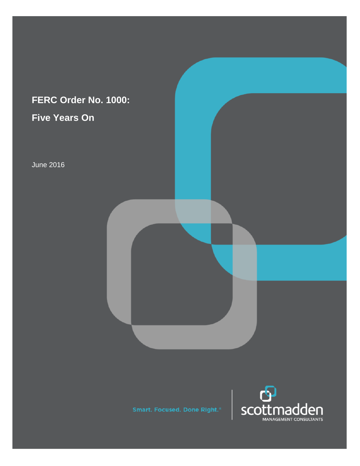# **FERC Order No. 1000: Five Years On**

June 2016



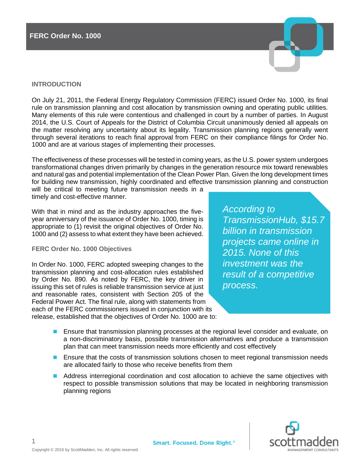

On July 21, 2011, the Federal Energy Regulatory Commission (FERC) issued Order No. 1000, its final rule on transmission planning and cost allocation by transmission owning and operating public utilities. Many elements of this rule were contentious and challenged in court by a number of parties. In August 2014, the U.S. Court of Appeals for the District of Columbia Circuit unanimously denied all appeals on the matter resolving any uncertainty about its legality. Transmission planning regions generally went through several iterations to reach final approval from FERC on their compliance filings for Order No. 1000 and are at various stages of implementing their processes.

The effectiveness of these processes will be tested in coming years, as the U.S. power system undergoes transformational changes driven primarily by changes in the generation resource mix toward renewables and natural gas and potential implementation of the Clean Power Plan. Given the long development times for building new transmission, highly coordinated and effective transmission planning and construction

will be critical to meeting future transmission needs in a timely and cost-effective manner.

With that in mind and as the industry approaches the fiveyear anniversary of the issuance of Order No. 1000, timing is appropriate to (1) revisit the original objectives of Order No. 1000 and (2) assess to what extent they have been achieved.

**FERC Order No. 1000 Objectives**

In Order No. 1000, FERC adopted sweeping changes to the transmission planning and cost-allocation rules established by Order No. 890. As noted by FERC, the key driver in issuing this set of rules is reliable transmission service at just and reasonable rates, consistent with Section 205 of the Federal Power Act. The final rule, along with statements from each of the FERC commissioners issued in conjunction with its release, established that the objectives of Order No. 1000 are to:

*According to TransmissionHub, \$15.7 billion in transmission projects came online in 2015. None of this investment was the result of a competitive process.*

- Ensure that transmission planning processes at the regional level consider and evaluate, on a non-discriminatory basis, possible transmission alternatives and produce a transmission plan that can meet transmission needs more efficiently and cost effectively
- Ensure that the costs of transmission solutions chosen to meet regional transmission needs are allocated fairly to those who receive benefits from them
- Address interregional coordination and cost allocation to achieve the same objectives with respect to possible transmission solutions that may be located in neighboring transmission planning regions



1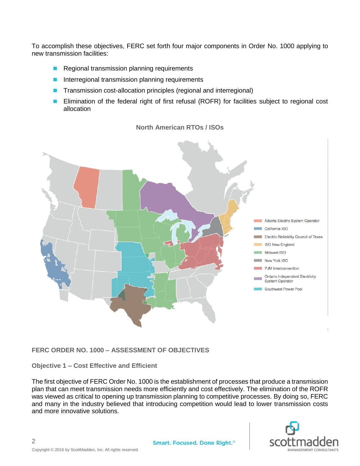To accomplish these objectives, FERC set forth four major components in Order No. 1000 applying to new transmission facilities:

- Regional transmission planning requirements
- Interregional transmission planning requirements
- Transmission cost-allocation principles (regional and interregional)
- Elimination of the federal right of first refusal (ROFR) for facilities subject to regional cost allocation



# **North American RTOs / ISOs**

# **FERC ORDER NO. 1000 – ASSESSMENT OF OBJECTIVES**

# **Objective 1 – Cost Effective and Efficient**

The first objective of FERC Order No. 1000 is the establishment of processes that produce a transmission plan that can meet transmission needs more efficiently and cost effectively. The elimination of the ROFR was viewed as critical to opening up transmission planning to competitive processes. By doing so, FERC and many in the industry believed that introducing competition would lead to lower transmission costs and more innovative solutions.

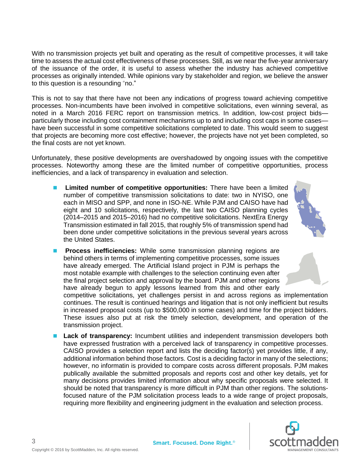With no transmission projects yet built and operating as the result of competitive processes, it will take time to assess the actual cost effectiveness of these processes. Still, as we near the five-year anniversary of the issuance of the order, it is useful to assess whether the industry has achieved competitive processes as originally intended. While opinions vary by stakeholder and region, we believe the answer to this question is a resounding "no."

This is not to say that there have not been any indications of progress toward achieving competitive processes. Non-incumbents have been involved in competitive solicitations, even winning several, as noted in a March 2016 FERC report on transmission metrics. In addition, low-cost project bids particularly those including cost containment mechanisms up to and including cost caps in some cases have been successful in some competitive solicitations completed to date. This would seem to suggest that projects are becoming more cost effective; however, the projects have not yet been completed, so the final costs are not yet known.

Unfortunately, these positive developments are overshadowed by ongoing issues with the competitive processes. Noteworthy among these are the limited number of competitive opportunities, process inefficiencies, and a lack of transparency in evaluation and selection.

■ Limited number of competitive opportunities: There have been a limited number of competitive transmission solicitations to date: two in NYISO, one each in MISO and SPP, and none in ISO-NE. While PJM and CAISO have had eight and 10 solicitations, respectively, the last two CAISO planning cycles (2014–2015 and 2015–2016) had no competitive solicitations. NextEra Energy Transmission estimated in fall 2015, that roughly 5% of transmission spend had been done under competitive solicitations in the previous several years across the United States.



**Process inefficiencies:** While some transmission planning regions are behind others in terms of implementing competitive processes, some issues have already emerged. The Artificial Island project in PJM is perhaps the most notable example with challenges to the selection continuing even after the final project selection and approval by the board. PJM and other regions have already begun to apply lessons learned from this and other early

competitive solicitations, yet challenges persist in and across regions as implementation continues. The result is continued hearings and litigation that is not only inefficient but results in increased proposal costs (up to \$500,000 in some cases) and time for the project bidders. These issues also put at risk the timely selection, development, and operation of the transmission project.

**Lack of transparency:** Incumbent utilities and independent transmission developers both have expressed frustration with a perceived lack of transparency in competitive processes. CAISO provides a selection report and lists the deciding factor(s) yet provides little, if any, additional information behind those factors. Cost is a deciding factor in many of the selections; however, no informatin is provided to compare costs across different proposals. PJM makes publically available the submitted proposals and reports cost and other key details, yet for many decisions provides limited information about why specific proposals were selected. It should be noted that transparency is more difficult in PJM than other regions. The solutionsfocused nature of the PJM solicitation process leads to a wide range of project proposals, requiring more flexibility and engineering judgment in the evaluation and selection process.



3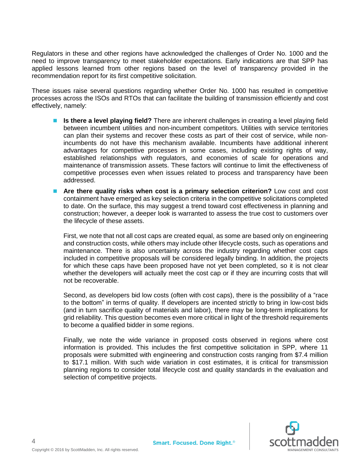Regulators in these and other regions have acknowledged the challenges of Order No. 1000 and the need to improve transparency to meet stakeholder expectations. Early indications are that SPP has applied lessons learned from other regions based on the level of transparency provided in the recommendation report for its first competitive solicitation.

These issues raise several questions regarding whether Order No. 1000 has resulted in competitive processes across the ISOs and RTOs that can facilitate the building of transmission efficiently and cost effectively, namely:

- **Is there a level playing field?** There are inherent challenges in creating a level playing field between incumbent utilities and non-incumbent competitors. Utilities with service territories can plan their systems and recover these costs as part of their cost of service, while nonincumbents do not have this mechanism available. Incumbents have additional inherent advantages for competitive processes in some cases, including existing rights of way, established relationships with regulators, and economies of scale for operations and maintenance of transmission assets. These factors will continue to limit the effectiveness of competitive processes even when issues related to process and transparency have been addressed.
- Are there quality risks when cost is a primary selection criterion? Low cost and cost containment have emerged as key selection criteria in the competitive solicitations completed to date. On the surface, this may suggest a trend toward cost effectiveness in planning and construction; however, a deeper look is warranted to assess the true cost to customers over the lifecycle of these assets.

First, we note that not all cost caps are created equal, as some are based only on engineering and construction costs, while others may include other lifecycle costs, such as operations and maintenance. There is also uncertainty across the industry regarding whether cost caps included in competitive proposals will be considered legally binding. In addition, the projects for which these caps have been proposed have not yet been completed, so it is not clear whether the developers will actually meet the cost cap or if they are incurring costs that will not be recoverable.

Second, as developers bid low costs (often with cost caps), there is the possibility of a "race to the bottom" in terms of quality. If developers are incented strictly to bring in low-cost bids (and in turn sacrifice quality of materials and labor), there may be long-term implications for grid reliability. This question becomes even more critical in light of the threshold requirements to become a qualified bidder in some regions.

Finally, we note the wide variance in proposed costs observed in regions where cost information is provided. This includes the first competitive solicitation in SPP, where 11 proposals were submitted with engineering and construction costs ranging from \$7.4 million to \$17.1 million. With such wide variation in cost estimates, it is critical for transmission planning regions to consider total lifecycle cost and quality standards in the evaluation and selection of competitive projects.

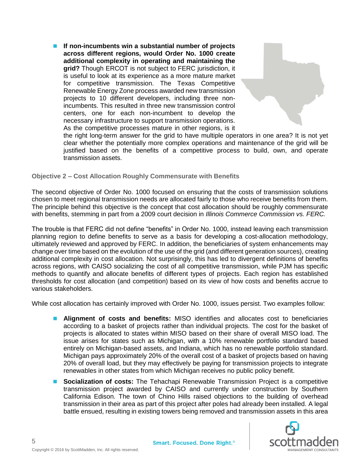■ If non-incumbents win a substantial number of projects **across different regions, would Order No. 1000 create additional complexity in operating and maintaining the grid?** Though ERCOT is not subject to FERC jurisdiction, it is useful to look at its experience as a more mature market for competitive transmission. The Texas Competitive Renewable Energy Zone process awarded new transmission projects to 10 different developers, including three nonincumbents. This resulted in three new transmission control centers, one for each non-incumbent to develop the necessary infrastructure to support transmission operations. As the competitive processes mature in other regions, is it



the right long-term answer for the grid to have multiple operators in one area? It is not yet clear whether the potentially more complex operations and maintenance of the grid will be justified based on the benefits of a competitive process to build, own, and operate transmission assets.

**Objective 2 – Cost Allocation Roughly Commensurate with Benefits**

The second objective of Order No. 1000 focused on ensuring that the costs of transmission solutions chosen to meet regional transmission needs are allocated fairly to those who receive benefits from them. The principle behind this objective is the concept that cost allocation should be roughly commensurate with benefits, stemming in part from a 2009 court decision in *Illinois Commerce Commission vs. FERC.*

The trouble is that FERC did not define "benefits" in Order No. 1000, instead leaving each transmission planning region to define benefits to serve as a basis for developing a cost-allocation methodology, ultimately reviewed and approved by FERC. In addition, the beneficiaries of system enhancements may change over time based on the evolution of the use of the grid (and different generation sources), creating additional complexity in cost allocation. Not surprisingly, this has led to divergent definitions of benefits across regions, with CAISO socializing the cost of all competitive transmission, while PJM has specific methods to quantify and allocate benefits of different types of projects. Each region has established thresholds for cost allocation (and competition) based on its view of how costs and benefits accrue to various stakeholders.

While cost allocation has certainly improved with Order No. 1000, issues persist. Two examples follow:

- **Alignment of costs and benefits:** MISO identifies and allocates cost to beneficiaries according to a basket of projects rather than individual projects. The cost for the basket of projects is allocated to states within MISO based on their share of overall MISO load. The issue arises for states such as Michigan, with a 10% renewable portfolio standard based entirely on Michigan-based assets, and Indiana, which has no renewable portfolio standard. Michigan pays approximately 20% of the overall cost of a basket of projects based on having 20% of overall load, but they may effectively be paying for transmission projects to integrate renewables in other states from which Michigan receives no public policy benefit.
- **Socialization of costs:** The Tehachapi Renewable Transmission Project is a competitive transmission project awarded by CAISO and currently under construction by Southern California Edison. The town of Chino Hills raised objections to the building of overhead transmission in their area as part of this project after poles had already been installed. A legal battle ensued, resulting in existing towers being removed and transmission assets in this area

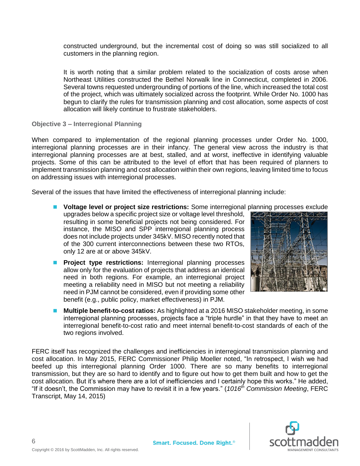constructed underground, but the incremental cost of doing so was still socialized to all customers in the planning region.

It is worth noting that a similar problem related to the socialization of costs arose when Northeast Utilities constructed the Bethel Norwalk line in Connecticut, completed in 2006. Several towns requested undergrounding of portions of the line, which increased the total cost of the project, which was ultimately socialized across the footprint. While Order No. 1000 has begun to clarify the rules for transmission planning and cost allocation, some aspects of cost allocation will likely continue to frustrate stakeholders.

**Objective 3 – Interregional Planning**

When compared to implementation of the regional planning processes under Order No. 1000, interregional planning processes are in their infancy. The general view across the industry is that interregional planning processes are at best, stalled, and at worst, ineffective in identifying valuable projects. Some of this can be attributed to the level of effort that has been required of planners to implement transmission planning and cost allocation within their own regions, leaving limited time to focus on addressing issues with interregional processes.

Several of the issues that have limited the effectiveness of interregional planning include:

- Voltage level or project size restrictions: Some interregional planning processes exclude upgrades below a specific project size or voltage level threshold, resulting in some beneficial projects not being considered. For instance, the MISO and SPP interregional planning process does not include projects under 345kV. MISO recently noted that of the 300 current interconnections between these two RTOs, only 12 are at or above 345kV.
- **Project type restrictions:** Interregional planning processes allow only for the evaluation of projects that address an identical need in both regions. For example, an interregional project meeting a reliability need in MISO but not meeting a reliability need in PJM cannot be considered, even if providing some other benefit (e.g., public policy, market effectiveness) in PJM.



**Multiple benefit-to-cost ratios:** As highlighted at a 2016 MISO stakeholder meeting, in some interregional planning processes, projects face a "triple hurdle" in that they have to meet an interregional benefit-to-cost ratio and meet internal benefit-to-cost standards of each of the two regions involved.

FERC itself has recognized the challenges and inefficiencies in interregional transmission planning and cost allocation. In May 2015, FERC Commissioner Philip Moeller noted, "In retrospect, I wish we had beefed up this interregional planning Order 1000. There are so many benefits to interregional transmission, but they are so hard to identify and to figure out how to get them built and how to get the cost allocation. But it's where there are a lot of inefficiencies and I certainly hope this works." He added, "If it doesn't, the Commission may have to revisit it in a few years." (*1016th Commission Meeting*, FERC Transcript, May 14, 2015)

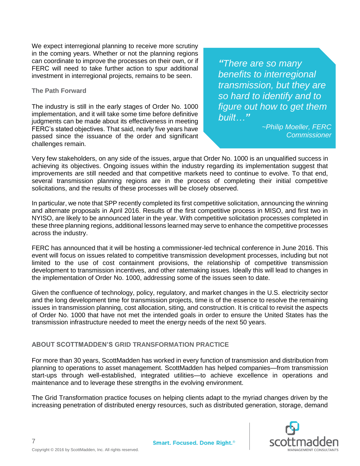We expect interregional planning to receive more scrutiny in the coming years. Whether or not the planning regions can coordinate to improve the processes on their own, or if FERC will need to take further action to spur additional investment in interregional projects, remains to be seen.

#### **The Path Forward**

The industry is still in the early stages of Order No. 1000 implementation, and it will take some time before definitive judgments can be made about its effectiveness in meeting FERC's stated objectives. That said, nearly five years have passed since the issuance of the order and significant challenges remain.

*"There are so many benefits to interregional transmission, but they are so hard to identify and to figure out how to get them built…"*

> *~Philip Moeller, FERC Commissioner*

Very few stakeholders, on any side of the issues, argue that Order No. 1000 is an unqualified success in achieving its objectives. Ongoing issues within the industry regarding its implementation suggest that improvements are still needed and that competitive markets need to continue to evolve. To that end, several transmission planning regions are in the process of completing their initial competitive solicitations, and the results of these processes will be closely observed.

In particular, we note that SPP recently completed its first competitive solicitation, announcing the winning and alternate proposals in April 2016. Results of the first competitive process in MISO, and first two in NYISO, are likely to be announced later in the year. With competitive solicitation processes completed in these three planning regions, additional lessons learned may serve to enhance the competitive processes across the industry.

FERC has announced that it will be hosting a commissioner-led technical conference in June 2016. This event will focus on issues related to competitive transmission development processes, including but not limited to the use of cost containment provisions, the relationship of competitive transmission development to transmission incentives, and other ratemaking issues. Ideally this will lead to changes in the implementation of Order No. 1000, addressing some of the issues seen to date.

Given the confluence of technology, policy, regulatory, and market changes in the U.S. electricity sector and the long development time for transmission projects, time is of the essence to resolve the remaining issues in transmission planning, cost allocation, siting, and construction. It is critical to revisit the aspects of Order No. 1000 that have not met the intended goals in order to ensure the United States has the transmission infrastructure needed to meet the energy needs of the next 50 years.

# **ABOUT SCOTTMADDEN'S GRID TRANSFORMATION PRACTICE**

For more than 30 years, ScottMadden has worked in every function of transmission and distribution from planning to operations to asset management. ScottMadden has helped companies—from transmission start-ups through well-established, integrated utilities—to achieve excellence in operations and maintenance and to leverage these strengths in the evolving environment.

The Grid Transformation practice focuses on helping clients adapt to the myriad changes driven by the increasing penetration of distributed energy resources, such as distributed generation, storage, demand

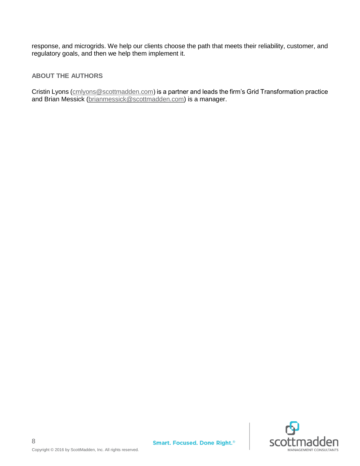response, and microgrids. We help our clients choose the path that meets their reliability, customer, and regulatory goals, and then we help them implement it.

# **ABOUT THE AUTHORS**

Cristin Lyons [\(cmlyons@scottmadden.com\)](mailto:cmlyons@scottmadden.com) is a partner and leads the firm's Grid Transformation practice and Brian Messick [\(brianmessick@scottmadden.com\)](mailto:brianmessick@scottmadden.com) is a manager.